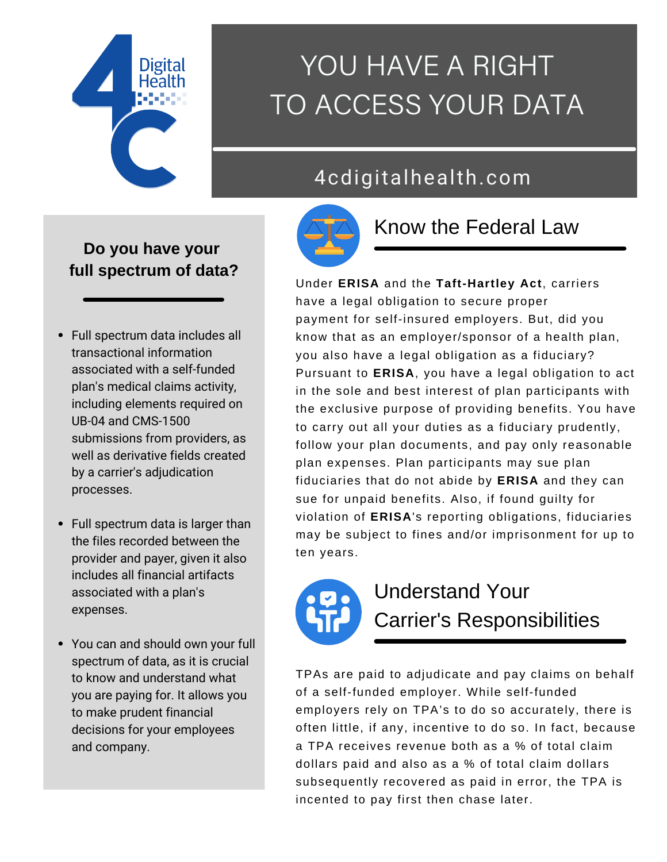

# YOU HAVE A RIGHT TO ACCESS YOUR DATA

## 4cdigitalhealth.com



## Know the Federal Law

#### Under **ERISA** and the **Taft-Hartley Act**, carriers have a legal obligation to secure proper payment for self-insured employers. But, did you know that as an employer/sponsor of a health plan, you also have a legal obligation as a fiduciary? Pursuant to **ERISA**, you have a legal obligation to act in the sole and best interest of plan participants with the exclusive purpose of providing benefits. You have to carry out all your duties as a fiduciary prudently, follow your plan documents, and pay only reasonable plan expenses. Plan participants may sue plan fiduciaries that do not abide by **ERISA** and they can sue for unpaid benefits. Also, if found guilty for violation of **ERISA**'s reporting obligations, fiduciaries may be subject to fines and/or imprisonment for up to ten years.



## Understand Your Carrier's Responsibilities

TPAs are paid to adjudicate and pay claims on behalf of a self-funded employer. While self-funded employers rely on TPA's to do so accurately, there is often little, if any, incentive to do so. In fact, because a TPA receives revenue both as a % of total claim dollars paid and also as a % of total claim dollars subsequently recovered as paid in error, the TPA is incented to pay first then chase later.

### **Do you have your full spectrum of data?**

- Full spectrum data includes all transactional information associated with a self-funded plan's medical claims activity, including elements required on UB-04 and CMS-1500 submissions from providers, as well as derivative fields created by a carrier's adjudication processes.
- Full spectrum data is larger than the files recorded between the provider and payer, given it also includes all financial artifacts associated with a plan's expenses.
- You can and should own your full spectrum of data, as it is crucial to know and understand what you are paying for. It allows you to make prudent financial decisions for your employees and company.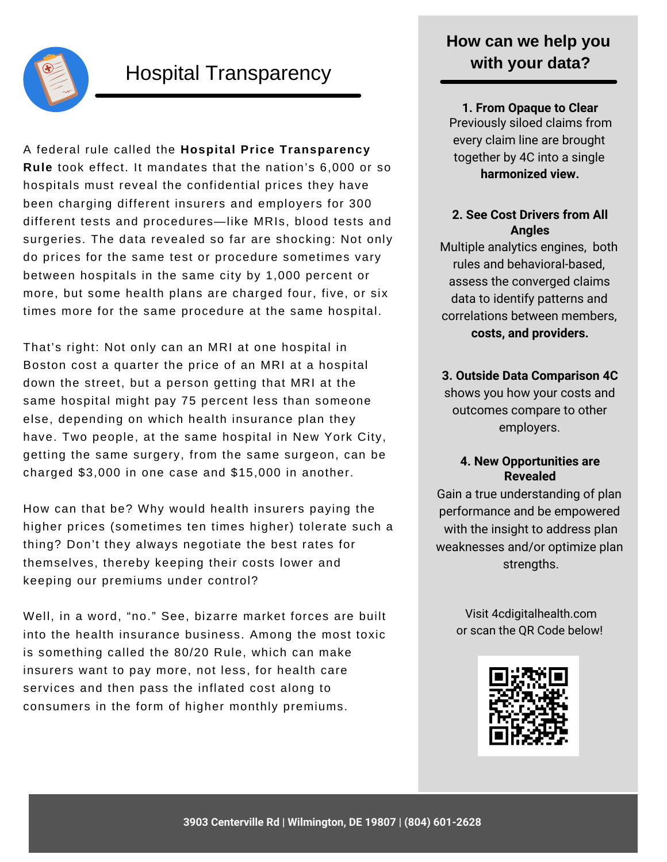

### Hospital Transparency

A federal rule called the **[Hospital Price Transparency](https://www.cms.gov/hospital-price-transparency) Rule** took effect. It mandates that the nation's 6,000 or so hospitals must reveal the confidential prices they have been charging different insurers and employers for 300 different tests and procedures—like MRIs, blood tests and surgeries. The data revealed so far are shocking: Not only do prices for the same test or procedure sometimes vary between hospitals in the same city by 1,000 percent or more, but some health plans are charged four, five, or six times more for the same procedure at the same hospital.

That's right: Not only can an MRI at one hospital in Boston cost a quarter the price of an MRI at a hospital down the street, but a person getting that MRI at the same hospital might pay 75 percent less than someone else, depending on which health insurance plan they have. Two people, at the same hospital in New York City, getting the same surgery, from the same surgeon, can be charged \$3,000 in one case and \$15,000 in another.

How can that be? Why would health insurers paying the higher prices (sometimes ten times higher) tolerate such a thing? Don't they always negotiate the best rates for themselves, thereby keeping their costs lower and keeping our premiums under control?

Well, in a word, "no." See, bizarre market forces are built into the health insurance business. Among the most toxic is something called the [80/20 Rule](https://www.huffpost.com/entry/the-8020-rule-why-insurer_b_11115430), which can make insurers want to pay more, not less, for health care services and then pass the inflated cost along to consumers in the form of higher monthly premiums.

### **How can we help you with your data?**

**1. From Opaque to Clear** Previously siloed claims from every claim line are brought together by 4C into a single **harmonized view.**

#### **2. See Cost Drivers from All Angles**

Multiple analytics engines, both rules and behavioral-based, assess the converged claims data to identify patterns and correlations between members, **costs, and providers.**

#### **3. Outside Data Comparison 4C**

shows you how your costs and outcomes compare to other employers.

#### **4. New Opportunities are Revealed**

Gain a true understanding of plan performance and be empowered with the insight to address plan weaknesses and/or optimize plan strengths.

> Visit 4cdigitalhealth.com or scan the QR Code below!